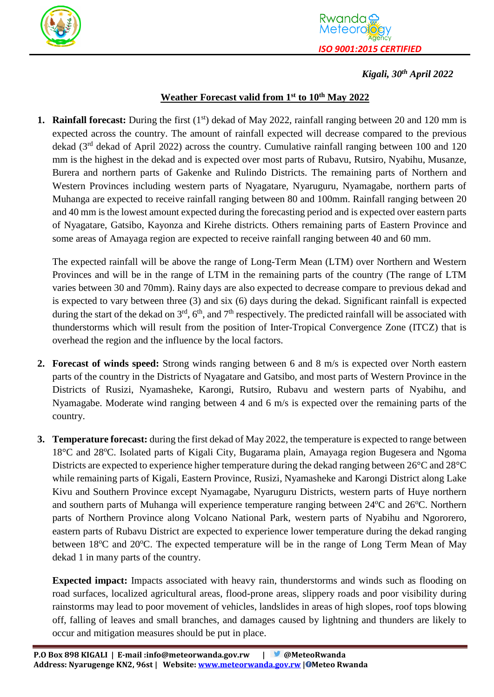



## *Kigali, 30 th April 2022*

## **Weather Forecast valid from 1 st to 10 th May 2022**

**1. Rainfall forecast:** During the first (1<sup>st</sup>) dekad of May 2022, rainfall ranging between 20 and 120 mm is expected across the country. The amount of rainfall expected will decrease compared to the previous dekad (3<sup>rd</sup> dekad of April 2022) across the country. Cumulative rainfall ranging between 100 and 120 mm is the highest in the dekad and is expected over most parts of Rubavu, Rutsiro, Nyabihu, Musanze, Burera and northern parts of Gakenke and Rulindo Districts. The remaining parts of Northern and Western Provinces including western parts of Nyagatare, Nyaruguru, Nyamagabe, northern parts of Muhanga are expected to receive rainfall ranging between 80 and 100mm. Rainfall ranging between 20 and 40 mm is the lowest amount expected during the forecasting period and is expected over eastern parts of Nyagatare, Gatsibo, Kayonza and Kirehe districts. Others remaining parts of Eastern Province and some areas of Amayaga region are expected to receive rainfall ranging between 40 and 60 mm.

The expected rainfall will be above the range of Long-Term Mean (LTM) over Northern and Western Provinces and will be in the range of LTM in the remaining parts of the country (The range of LTM varies between 30 and 70mm). Rainy days are also expected to decrease compare to previous dekad and is expected to vary between three (3) and six (6) days during the dekad. Significant rainfall is expected during the start of the dekad on  $3<sup>rd</sup>$ , 6<sup>th</sup>, and 7<sup>th</sup> respectively. The predicted rainfall will be associated with thunderstorms which will result from the position of Inter-Tropical Convergence Zone (ITCZ) that is overhead the region and the influence by the local factors.

- **2. Forecast of winds speed:** Strong winds ranging between 6 and 8 m/s is expected over North eastern parts of the country in the Districts of Nyagatare and Gatsibo, and most parts of Western Province in the Districts of Rusizi, Nyamasheke, Karongi, Rutsiro, Rubavu and western parts of Nyabihu, and Nyamagabe. Moderate wind ranging between 4 and 6 m/s is expected over the remaining parts of the country.
- **3. Temperature forecast:** during the first dekad of May 2022, the temperature is expected to range between 18°C and 28°C. Isolated parts of Kigali City, Bugarama plain, Amayaga region Bugesera and Ngoma Districts are expected to experience higher temperature during the dekad ranging between 26°C and 28°C while remaining parts of Kigali, Eastern Province, Rusizi, Nyamasheke and Karongi District along Lake Kivu and Southern Province except Nyamagabe, Nyaruguru Districts, western parts of Huye northern and southern parts of Muhanga will experience temperature ranging between 24°C and 26°C. Northern parts of Northern Province along Volcano National Park, western parts of Nyabihu and Ngororero, eastern parts of Rubavu District are expected to experience lower temperature during the dekad ranging between 18<sup>o</sup>C and 20<sup>o</sup>C. The expected temperature will be in the range of Long Term Mean of May dekad 1 in many parts of the country.

**Expected impact:** Impacts associated with heavy rain, thunderstorms and winds such as flooding on road surfaces, localized agricultural areas, flood-prone areas, slippery roads and poor visibility during rainstorms may lead to poor movement of vehicles, landslides in areas of high slopes, roof tops blowing off, falling of leaves and small branches, and damages caused by lightning and thunders are likely to occur and mitigation measures should be put in place.